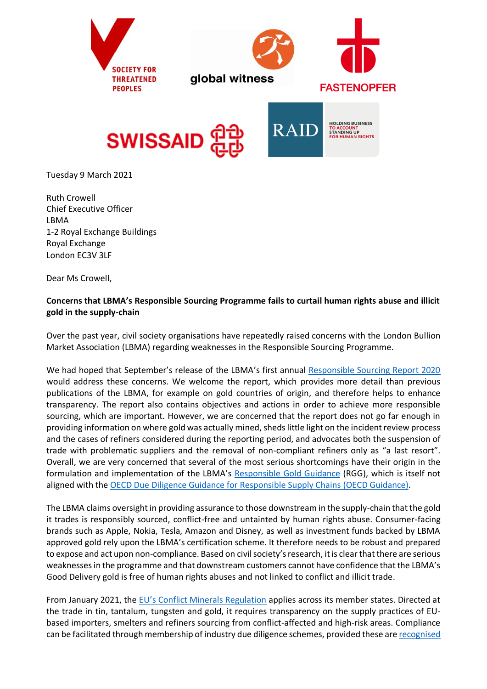





Tuesday 9 March 2021

Ruth Crowell Chief Executive Officer LBMA 1-2 Royal Exchange Buildings Royal Exchange London EC3V 3LF

Dear Ms Crowell,

## **Concerns that LBMA's Responsible Sourcing Programme fails to curtail human rights abuse and illicit gold in the supply-chain**

Over the past year, civil society organisations have repeatedly raised concerns with the London Bullion Market Association (LBMA) regarding weaknesses in the Responsible Sourcing Programme.

We had hoped that September's release of the LBMA's first annual [Responsible Sourcing Report 2020](http://www.lbma.org.uk/assets/RSReport/2020/LBMA_Responsible_Sourcing_Report_2020_FINAL.pdf) would address these concerns. We welcome the report, which provides more detail than previous publications of the LBMA, for example on gold countries of origin, and therefore helps to enhance transparency. The report also contains objectives and actions in order to achieve more responsible sourcing, which are important. However, we are concerned that the report does not go far enough in providing information on where gold was actually mined, sheds little light on the incident review process and the cases of refiners considered during the reporting period, and advocates both the suspension of trade with problematic suppliers and the removal of non-compliant refiners only as "a last resort". Overall, we are very concerned that several of the most serious shortcomings have their origin in the formulation and implementation of the LBMA's [Responsible Gold Guidance](http://www.lbma.org.uk/assets/downloads/responsible%20sourcing/RGGV820181211.pdf) (RGG), which is itself not aligned with the [OECD Due Diligence Guidance for Responsible Supply Chains](https://www.oecd.org/corporate/mne/GuidanceEdition2.pdf) (OECD Guidance).

The LBMA claims oversight in providing assurance to those downstream in the supply-chain that the gold it trades is responsibly sourced, conflict-free and untainted by human rights abuse. Consumer-facing brands such as Apple, Nokia, Tesla, Amazon and Disney, as well as investment funds backed by LBMA approved gold rely upon the LBMA's certification scheme. It therefore needs to be robust and prepared to expose and act upon non-compliance. Based on civil society's research, it is clear that there are serious weaknesses in the programme and that downstream customers cannot have confidence that the LBMA's Good Delivery gold is free of human rights abuses and not linked to conflict and illicit trade.

From January 2021, the [EU's Conflict Minerals Regulation](https://ec.europa.eu/trade/policy/in-focus/conflict-minerals-regulation/regulation-explained/index_en.htm) applies across its member states. Directed at the trade in tin, tantalum, tungsten and gold, it requires transparency on the supply practices of EUbased importers, smelters and refiners sourcing from conflict-affected and high-risk areas. Compliance can be facilitated through membership of industry due diligence schemes, provided these ar[e recognised](https://ec.europa.eu/transparency/regdoc/rep/3/2019/EN/C-2019-9-F1-EN-MAIN-PART-1.PDF)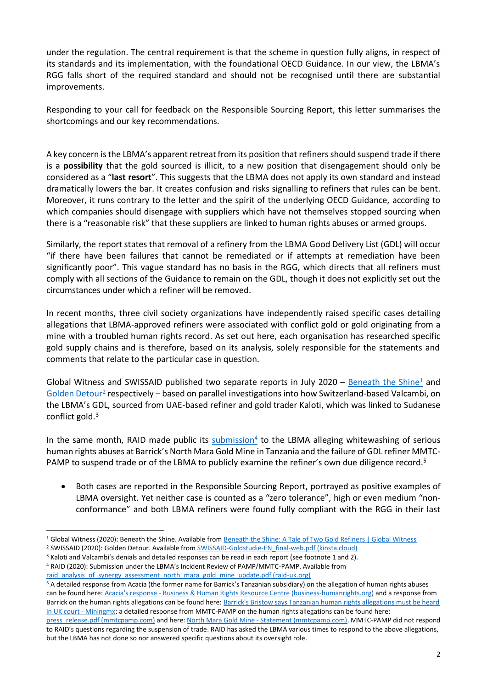under the regulation. The central requirement is that the scheme in question fully aligns, in respect of its standards and its implementation, with the foundational OECD Guidance. In our view, the LBMA's RGG falls short of the required standard and should not be recognised until there are substantial improvements.

Responding to your call for feedback on the Responsible Sourcing Report, this letter summarises the shortcomings and our key recommendations.

A key concern is the LBMA's apparent retreat from its position that refiners should suspend trade if there is a **possibility** that the gold sourced is illicit, to a new position that disengagement should only be considered as a "**last resort**". This suggests that the LBMA does not apply its own standard and instead dramatically lowers the bar. It creates confusion and risks signalling to refiners that rules can be bent. Moreover, it runs contrary to the letter and the spirit of the underlying OECD Guidance, according to which companies should disengage with suppliers which have not themselves stopped sourcing when there is a "reasonable risk" that these suppliers are linked to human rights abuses or armed groups.

Similarly, the report states that removal of a refinery from the LBMA Good Delivery List (GDL) will occur "if there have been failures that cannot be remediated or if attempts at remediation have been significantly poor". This vague standard has no basis in the RGG, which directs that all refiners must comply with all sections of the Guidance to remain on the GDL, though it does not explicitly set out the circumstances under which a refiner will be removed.

In recent months, three civil society organizations have independently raised specific cases detailing allegations that LBMA-approved refiners were associated with conflict gold or gold originating from a mine with a troubled human rights record. As set out here, each organisation has researched specific gold supply chains and is therefore, based on its analysis, solely responsible for the statements and comments that relate to the particular case in question.

Global Witness and SWISSAID published two separate reports in July 2020 – [Beneath the Shine](file:///C:/Users/RAID/Downloads/Beneath_the_Shine_-_July_2020.pdf)<sup>1</sup> and [Golden Detour](https://swissaid.kinsta.cloud/wp-content/uploads/2020/07/SWISSAID-Goldstudie-EN_final-web.pdf)<sup>2</sup> respectively – based on parallel investigations into how Switzerland-based Valcambi, on the LBMA's GDL, sourced from UAE-based refiner and gold trader Kaloti, which was linked to Sudanese conflict gold. 3

In the same month, RAID made public its **submission**<sup>4</sup> to the LBMA alleging whitewashing of serious human rights abuses at Barrick's North Mara Gold Mine in Tanzania and the failure of GDL refiner MMTC-PAMP to suspend trade or of the LBMA to publicly examine the refiner's own due diligence record.<sup>5</sup>

• Both cases are reported in the Responsible Sourcing Report, portrayed as positive examples of LBMA oversight. Yet neither case is counted as a "zero tolerance", high or even medium "nonconformance" and both LBMA refiners were found fully compliant with the RGG in their last

[raid\\_analysis\\_of\\_synergy\\_assessment\\_north\\_mara\\_gold\\_mine\\_update.pdf \(raid-uk.org\)](https://www.raid-uk.org/sites/default/files/raid_analysis_of_synergy_assessment_north_mara_gold_mine_update.pdf)

<sup>5</sup> A detailed response from Acacia (the former name for Barrick's Tanzanian subsidiary) on the allegation of human rights abuses can be found here: Acacia's response - [Business & Human Rights Resource Centre \(business-humanrights.org\)](https://www.business-humanrights.org/en/latest-news/acacias-response-3/) and a response from Barrick on the human rights allegations can be found here[: Barrick's Bristow says Tanzanian human rights allegations must be heard](https://www.miningmx.com/news/gold/40264-barricks-bristow-says-tanzanian-human-rights-allegations-must-be-heard-in-uk-court/)  [in UK court -](https://www.miningmx.com/news/gold/40264-barricks-bristow-says-tanzanian-human-rights-allegations-must-be-heard-in-uk-court/) Miningmx; a detailed response from MMTC-PAMP on the human rights allegations can be found here:

[press\\_release.pdf \(mmtcpamp.com\)](https://www.mmtcpamp.com/sites/default/files/press_release.pdf) and here: North Mara Gold Mine - [Statement \(mmtcpamp.com\).](https://www.mmtcpamp.com/sites/default/files/Statement.pdf) MMTC-PAMP did not respond to RAID's questions regarding the suspension of trade. RAID has asked the LBMA various times to respond to the above allegations, but the LBMA has not done so nor answered specific questions about its oversight role.

<sup>1</sup> Global Witness (2020): Beneath the Shine. Available fro[m Beneath the Shine: A Tale of Two Gold Refiners | Global Witness](https://www.globalwitness.org/en/campaigns/conflict-minerals/beneath-shine-tale-two-gold-refiners/)

<sup>&</sup>lt;sup>2</sup> SWISSAID (2020): Golden Detour. Available from **SWISSAID-Goldstudie-EN\_final-web.pdf** (kinsta.cloud)

<sup>3</sup> Kaloti and Valcambi's denials and detailed responses can be read in each report (see footnote 1 and 2). <sup>4</sup> RAID (2020): Submission under the LBMA's Incident Review of PAMP/MMTC-PAMP. Available from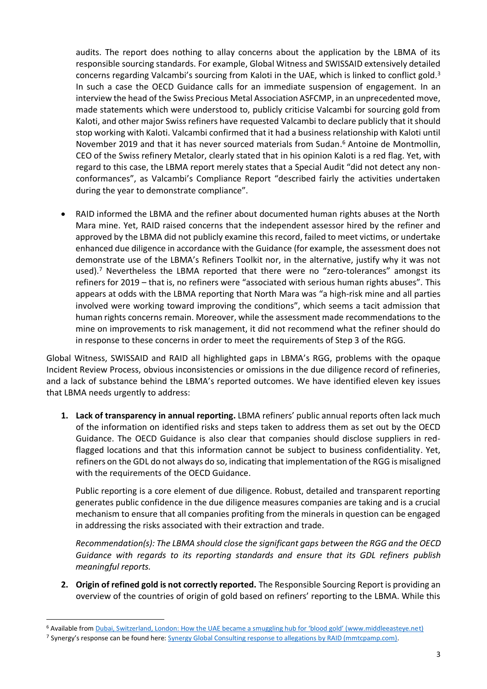audits. The report does nothing to allay concerns about the application by the LBMA of its responsible sourcing standards. For example, Global Witness and SWISSAID extensively detailed concerns regarding Valcambi's sourcing from Kaloti in the UAE, which is linked to conflict gold.<sup>3</sup> In such a case the OECD Guidance calls for an immediate suspension of engagement. In an interview the head of the Swiss Precious Metal Association ASFCMP, in an unprecedented move, made statements which were understood to, publicly criticise Valcambi for sourcing gold from Kaloti, and other major Swiss refiners have requested Valcambi to declare publicly that it should stop working with Kaloti. Valcambi confirmed that it had a business relationship with Kaloti until November 2019 and that it has never sourced materials from Sudan. <sup>6</sup> Antoine de Montmollin, CEO of the Swiss refinery Metalor, clearly stated that in his opinion Kaloti is a red flag. Yet, with regard to this case, the LBMA report merely states that a Special Audit "did not detect any nonconformances", as Valcambi's Compliance Report "described fairly the activities undertaken during the year to demonstrate compliance".

• RAID informed the LBMA and the refiner about documented human rights abuses at the North Mara mine. Yet, RAID raised concerns that the independent assessor hired by the refiner and approved by the LBMA did not publicly examine this record, failed to meet victims, or undertake enhanced due diligence in accordance with the Guidance (for example, the assessment does not demonstrate use of the LBMA's Refiners Toolkit nor, in the alternative, justify why it was not used).<sup>7</sup> Nevertheless the LBMA reported that there were no "zero-tolerances" amongst its refiners for 2019 – that is, no refiners were "associated with serious human rights abuses". This appears at odds with the LBMA reporting that North Mara was "a high-risk mine and all parties involved were working toward improving the conditions", which seems a tacit admission that human rights concerns remain. Moreover, while the assessment made recommendations to the mine on improvements to risk management, it did not recommend what the refiner should do in response to these concerns in order to meet the requirements of Step 3 of the RGG.

Global Witness, SWISSAID and RAID all highlighted gaps in LBMA's RGG, problems with the opaque Incident Review Process, obvious inconsistencies or omissions in the due diligence record of refineries, and a lack of substance behind the LBMA's reported outcomes. We have identified eleven key issues that LBMA needs urgently to address:

**1. Lack of transparency in annual reporting.** LBMA refiners' public annual reports often lack much of the information on identified risks and steps taken to address them as set out by the OECD Guidance. The OECD Guidance is also clear that companies should disclose suppliers in redflagged locations and that this information cannot be subject to business confidentiality. Yet, refiners on the GDL do not always do so, indicating that implementation of the RGG is misaligned with the requirements of the OECD Guidance.

Public reporting is a core element of due diligence. Robust, detailed and transparent reporting generates public confidence in the due diligence measures companies are taking and is a crucial mechanism to ensure that all companies profiting from the minerals in question can be engaged in addressing the risks associated with their extraction and trade.

*Recommendation(s): The LBMA should close the significant gaps between the RGG and the OECD Guidance with regards to its reporting standards and ensure that its GDL refiners publish meaningful reports.*

**2. Origin of refined gold is not correctly reported.** The Responsible Sourcing Report is providing an overview of the countries of origin of gold based on refiners' reporting to the LBMA. While this

<sup>6</sup> Available from Dubai, Switzerland, London: How the UAE became a smuggling hub for 'blood gold' (www.middleeasteye.net)

<sup>&</sup>lt;sup>7</sup> Synergy's response can be found here: [Synergy Global Consulting response to allegations by RAID \(mmtcpamp.com\).](https://www.mmtcpamp.com/sites/default/files/Statement%2010072020.pdf)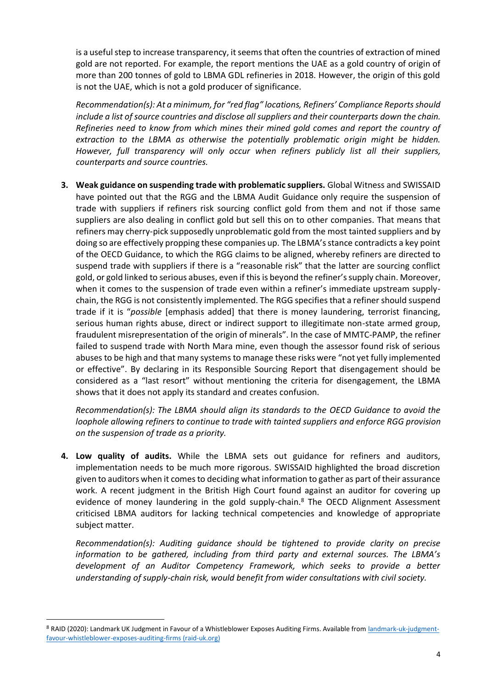is a useful step to increase transparency, it seems that often the countries of extraction of mined gold are not reported. For example, the report mentions the UAE as a gold country of origin of more than 200 tonnes of gold to LBMA GDL refineries in 2018. However, the origin of this gold is not the UAE, which is not a gold producer of significance.

*Recommendation(s): At a minimum, for "red flag" locations, Refiners' Compliance Reports should include a list of source countries and disclose all suppliers and their counterparts down the chain. Refineries need to know from which mines their mined gold comes and report the country of extraction to the LBMA as otherwise the potentially problematic origin might be hidden. However, full transparency will only occur when refiners publicly list all their suppliers, counterparts and source countries.*

**3. Weak guidance on suspending trade with problematic suppliers.** Global Witness and SWISSAID have pointed out that the RGG and the LBMA Audit Guidance only require the suspension of trade with suppliers if refiners risk sourcing conflict gold from them and not if those same suppliers are also dealing in conflict gold but sell this on to other companies. That means that refiners may cherry-pick supposedly unproblematic gold from the most tainted suppliers and by doing so are effectively propping these companies up. The LBMA's stance contradicts a key point of the OECD Guidance, to which the RGG claims to be aligned, whereby refiners are directed to suspend trade with suppliers if there is a "reasonable risk" that the latter are sourcing conflict gold, or gold linked to serious abuses, even if this is beyond the refiner's supply chain. Moreover, when it comes to the suspension of trade even within a refiner's immediate upstream supplychain, the RGG is not consistently implemented. The RGG specifies that a refiner should suspend trade if it is "*possible* [emphasis added] that there is money laundering, terrorist financing, serious human rights abuse, direct or indirect support to illegitimate non-state armed group, fraudulent misrepresentation of the origin of minerals". In the case of MMTC-PAMP, the refiner failed to suspend trade with North Mara mine, even though the assessor found risk of serious abuses to be high and that many systems to manage these risks were "not yet fully implemented or effective". By declaring in its Responsible Sourcing Report that disengagement should be considered as a "last resort" without mentioning the criteria for disengagement, the LBMA shows that it does not apply its standard and creates confusion.

*Recommendation(s): The LBMA should align its standards to the OECD Guidance to avoid the loophole allowing refiners to continue to trade with tainted suppliers and enforce RGG provision on the suspension of trade as a priority.*

**4. Low quality of audits.** While the LBMA sets out guidance for refiners and auditors, implementation needs to be much more rigorous. SWISSAID highlighted the broad discretion given to auditors when it comes to deciding what information to gather as part of their assurance work. A recent judgment in the British High Court found against an auditor for covering up evidence of money laundering in the gold supply-chain.<sup>8</sup> The OECD Alignment Assessment criticised LBMA auditors for lacking technical competencies and knowledge of appropriate subject matter.

*Recommendation(s): Auditing guidance should be tightened to provide clarity on precise information to be gathered, including from third party and external sources. The LBMA's development of an Auditor Competency Framework, which seeks to provide a better understanding of supply-chain risk, would benefit from wider consultations with civil society.*

<sup>8</sup> RAID (2020): Landmark UK Judgment in Favour of a Whistleblower Exposes Auditing Firms. Available from [landmark-uk-judgment](https://www.raid-uk.org/blog/landmark-uk-judgment-favour-whistleblower-exposes-auditing-firms)[favour-whistleblower-exposes-auditing-firms \(raid-uk.org\)](https://www.raid-uk.org/blog/landmark-uk-judgment-favour-whistleblower-exposes-auditing-firms)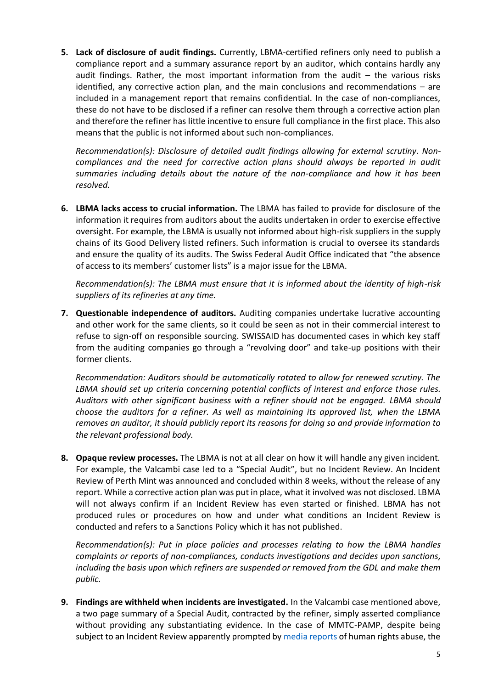**5. Lack of disclosure of audit findings.** Currently, LBMA-certified refiners only need to publish a compliance report and a summary assurance report by an auditor, which contains hardly any audit findings. Rather, the most important information from the audit  $-$  the various risks identified, any corrective action plan, and the main conclusions and recommendations – are included in a management report that remains confidential. In the case of non-compliances, these do not have to be disclosed if a refiner can resolve them through a corrective action plan and therefore the refiner has little incentive to ensure full compliance in the first place. This also means that the public is not informed about such non-compliances.

*Recommendation(s): Disclosure of detailed audit findings allowing for external scrutiny. Noncompliances and the need for corrective action plans should always be reported in audit summaries including details about the nature of the non-compliance and how it has been resolved.*

**6. LBMA lacks access to crucial information.** The LBMA has failed to provide for disclosure of the information it requires from auditors about the audits undertaken in order to exercise effective oversight. For example, the LBMA is usually not informed about high-risk suppliers in the supply chains of its Good Delivery listed refiners. Such information is crucial to oversee its standards and ensure the quality of its audits. The Swiss Federal Audit Office indicated that "the absence of access to its members' customer lists" is a major issue for the LBMA.

*Recommendation(s): The LBMA must ensure that it is informed about the identity of high-risk suppliers of its refineries at any time.*

**7. Questionable independence of auditors.** Auditing companies undertake lucrative accounting and other work for the same clients, so it could be seen as not in their commercial interest to refuse to sign-off on responsible sourcing. SWISSAID has documented cases in which key staff from the auditing companies go through a "revolving door" and take-up positions with their former clients.

*Recommendation: Auditors should be automatically rotated to allow for renewed scrutiny. The LBMA should set up criteria concerning potential conflicts of interest and enforce those rules. Auditors with other significant business with a refiner should not be engaged. LBMA should choose the auditors for a refiner. As well as maintaining its approved list, when the LBMA removes an auditor, it should publicly report its reasons for doing so and provide information to the relevant professional body.* 

**8. Opaque review processes.** The LBMA is not at all clear on how it will handle any given incident. For example, the Valcambi case led to a "Special Audit", but no Incident Review. An Incident Review of Perth Mint was announced and concluded within 8 weeks, without the release of any report. While a corrective action plan was put in place, what it involved was not disclosed. LBMA will not always confirm if an Incident Review has even started or finished. LBMA has not produced rules or procedures on how and under what conditions an Incident Review is conducted and refers to a Sanctions Policy which it has not published.

*Recommendation(s): Put in place policies and processes relating to how the LBMA handles complaints or reports of non-compliances, conducts investigations and decides upon sanctions, including the basis upon which refiners are suspended or removed from the GDL and make them public.*

**9. Findings are withheld when incidents are investigated.** In the Valcambi case mentioned above, a two page summary of a Special Audit, contracted by the refiner, simply asserted compliance without providing any substantiating evidence. In the case of MMTC-PAMP, despite being subject to an Incident Review apparently prompted b[y media reports](https://forbiddenstories.org/silence-is-golden-for-a-tanzanian-mine/) of human rights abuse, the